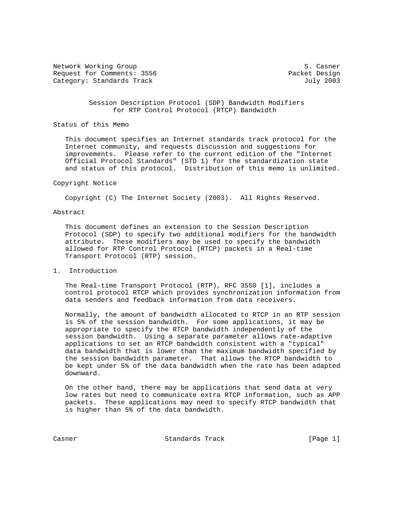Network Working Group S. Casner Request for Comments: 3556 Packet Design Category: Standards Track July 2003

 Session Description Protocol (SDP) Bandwidth Modifiers for RTP Control Protocol (RTCP) Bandwidth

### Status of this Memo

 This document specifies an Internet standards track protocol for the Internet community, and requests discussion and suggestions for improvements. Please refer to the current edition of the "Internet Official Protocol Standards" (STD 1) for the standardization state and status of this protocol. Distribution of this memo is unlimited.

### Copyright Notice

Copyright (C) The Internet Society (2003). All Rights Reserved.

### Abstract

 This document defines an extension to the Session Description Protocol (SDP) to specify two additional modifiers for the bandwidth attribute. These modifiers may be used to specify the bandwidth allowed for RTP Control Protocol (RTCP) packets in a Real-time Transport Protocol (RTP) session.

### 1. Introduction

 The Real-time Transport Protocol (RTP), RFC 3550 [1], includes a control protocol RTCP which provides synchronization information from data senders and feedback information from data receivers.

 Normally, the amount of bandwidth allocated to RTCP in an RTP session is 5% of the session bandwidth. For some applications, it may be appropriate to specify the RTCP bandwidth independently of the session bandwidth. Using a separate parameter allows rate-adaptive applications to set an RTCP bandwidth consistent with a "typical" data bandwidth that is lower than the maximum bandwidth specified by the session bandwidth parameter. That allows the RTCP bandwidth to be kept under 5% of the data bandwidth when the rate has been adapted downward.

 On the other hand, there may be applications that send data at very low rates but need to communicate extra RTCP information, such as APP packets. These applications may need to specify RTCP bandwidth that is higher than 5% of the data bandwidth.

Casner **Standards Track** [Page 1]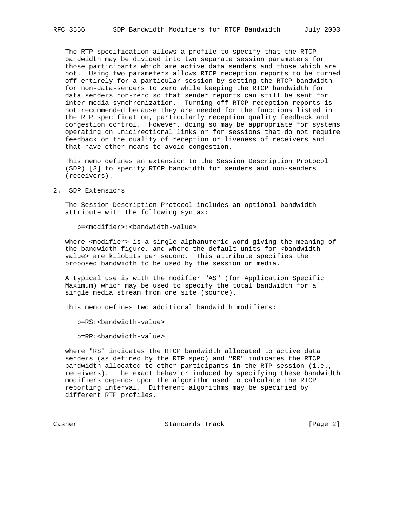The RTP specification allows a profile to specify that the RTCP bandwidth may be divided into two separate session parameters for those participants which are active data senders and those which are not. Using two parameters allows RTCP reception reports to be turned off entirely for a particular session by setting the RTCP bandwidth for non-data-senders to zero while keeping the RTCP bandwidth for data senders non-zero so that sender reports can still be sent for inter-media synchronization. Turning off RTCP reception reports is not recommended because they are needed for the functions listed in the RTP specification, particularly reception quality feedback and congestion control. However, doing so may be appropriate for systems operating on unidirectional links or for sessions that do not require feedback on the quality of reception or liveness of receivers and that have other means to avoid congestion.

 This memo defines an extension to the Session Description Protocol (SDP) [3] to specify RTCP bandwidth for senders and non-senders (receivers).

2. SDP Extensions

 The Session Description Protocol includes an optional bandwidth attribute with the following syntax:

b=<modifier>:<bandwidth-value>

where <modifier> is a single alphanumeric word giving the meaning of the bandwidth figure, and where the default units for <br/>bandwidth value> are kilobits per second. This attribute specifies the proposed bandwidth to be used by the session or media.

 A typical use is with the modifier "AS" (for Application Specific Maximum) which may be used to specify the total bandwidth for a single media stream from one site (source).

This memo defines two additional bandwidth modifiers:

b=RS:<bandwidth-value>

b=RR:<bandwidth-value>

 where "RS" indicates the RTCP bandwidth allocated to active data senders (as defined by the RTP spec) and "RR" indicates the RTCP bandwidth allocated to other participants in the RTP session (i.e., receivers). The exact behavior induced by specifying these bandwidth modifiers depends upon the algorithm used to calculate the RTCP reporting interval. Different algorithms may be specified by different RTP profiles.

Casner **Standards Track** [Page 2]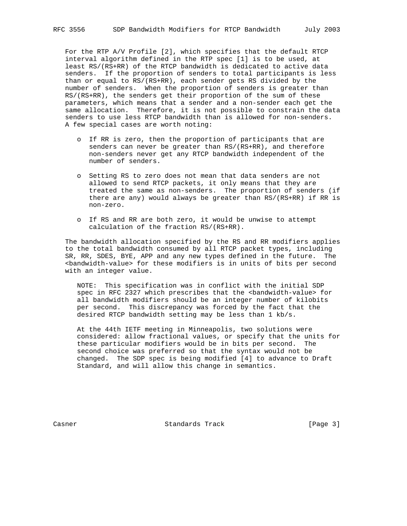For the RTP A/V Profile [2], which specifies that the default RTCP interval algorithm defined in the RTP spec [1] is to be used, at least RS/(RS+RR) of the RTCP bandwidth is dedicated to active data senders. If the proportion of senders to total participants is less than or equal to RS/(RS+RR), each sender gets RS divided by the number of senders. When the proportion of senders is greater than RS/(RS+RR), the senders get their proportion of the sum of these parameters, which means that a sender and a non-sender each get the same allocation. Therefore, it is not possible to constrain the data senders to use less RTCP bandwidth than is allowed for non-senders. A few special cases are worth noting:

- o If RR is zero, then the proportion of participants that are senders can never be greater than RS/(RS+RR), and therefore non-senders never get any RTCP bandwidth independent of the number of senders.
- o Setting RS to zero does not mean that data senders are not allowed to send RTCP packets, it only means that they are treated the same as non-senders. The proportion of senders (if there are any) would always be greater than RS/(RS+RR) if RR is non-zero.
- o If RS and RR are both zero, it would be unwise to attempt calculation of the fraction RS/(RS+RR).

 The bandwidth allocation specified by the RS and RR modifiers applies to the total bandwidth consumed by all RTCP packet types, including SR, RR, SDES, BYE, APP and any new types defined in the future. The <bandwidth-value> for these modifiers is in units of bits per second with an integer value.

 NOTE: This specification was in conflict with the initial SDP spec in RFC 2327 which prescribes that the <bandwidth-value> for all bandwidth modifiers should be an integer number of kilobits per second. This discrepancy was forced by the fact that the desired RTCP bandwidth setting may be less than 1 kb/s.

 At the 44th IETF meeting in Minneapolis, two solutions were considered: allow fractional values, or specify that the units for these particular modifiers would be in bits per second. The second choice was preferred so that the syntax would not be changed. The SDP spec is being modified [4] to advance to Draft Standard, and will allow this change in semantics.

Casner **Standards Track** [Page 3]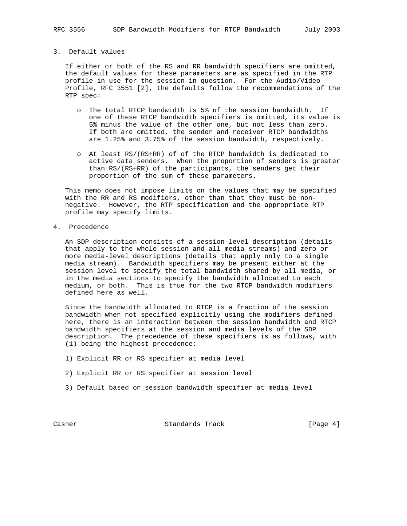## 3. Default values

 If either or both of the RS and RR bandwidth specifiers are omitted, the default values for these parameters are as specified in the RTP profile in use for the session in question. For the Audio/Video Profile, RFC 3551 [2], the defaults follow the recommendations of the RTP spec:

- o The total RTCP bandwidth is 5% of the session bandwidth. If one of these RTCP bandwidth specifiers is omitted, its value is 5% minus the value of the other one, but not less than zero. If both are omitted, the sender and receiver RTCP bandwidths are 1.25% and 3.75% of the session bandwidth, respectively.
- o At least RS/(RS+RR) of of the RTCP bandwidth is dedicated to active data senders. When the proportion of senders is greater than RS/(RS+RR) of the participants, the senders get their proportion of the sum of these parameters.

 This memo does not impose limits on the values that may be specified with the RR and RS modifiers, other than that they must be non negative. However, the RTP specification and the appropriate RTP profile may specify limits.

4. Precedence

 An SDP description consists of a session-level description (details that apply to the whole session and all media streams) and zero or more media-level descriptions (details that apply only to a single media stream). Bandwidth specifiers may be present either at the session level to specify the total bandwidth shared by all media, or in the media sections to specify the bandwidth allocated to each medium, or both. This is true for the two RTCP bandwidth modifiers defined here as well.

 Since the bandwidth allocated to RTCP is a fraction of the session bandwidth when not specified explicitly using the modifiers defined here, there is an interaction between the session bandwidth and RTCP bandwidth specifiers at the session and media levels of the SDP description. The precedence of these specifiers is as follows, with (1) being the highest precedence:

- 1) Explicit RR or RS specifier at media level
- 2) Explicit RR or RS specifier at session level
- 3) Default based on session bandwidth specifier at media level

Casner **Standards Track** [Page 4]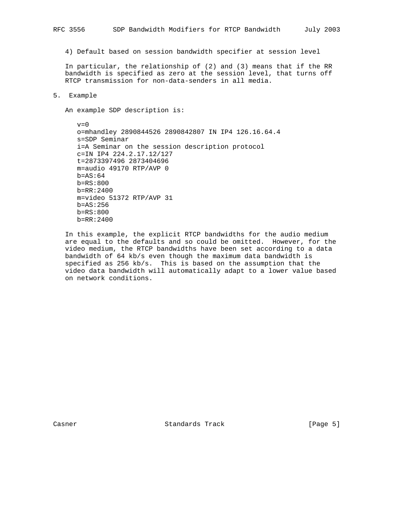4) Default based on session bandwidth specifier at session level

 In particular, the relationship of (2) and (3) means that if the RR bandwidth is specified as zero at the session level, that turns off RTCP transmission for non-data-senders in all media.

### 5. Example

An example SDP description is:

 $v=0$  o=mhandley 2890844526 2890842807 IN IP4 126.16.64.4 s=SDP Seminar i=A Seminar on the session description protocol c=IN IP4 224.2.17.12/127 t=2873397496 2873404696 m=audio 49170 RTP/AVP 0  $b=AS:64$  b=RS:800 b=RR:2400 m=video 51372 RTP/AVP 31 b=AS:256 b=RS:800 b=RR:2400

 In this example, the explicit RTCP bandwidths for the audio medium are equal to the defaults and so could be omitted. However, for the video medium, the RTCP bandwidths have been set according to a data bandwidth of 64 kb/s even though the maximum data bandwidth is specified as 256 kb/s. This is based on the assumption that the video data bandwidth will automatically adapt to a lower value based on network conditions.

Casner **Standards Track** [Page 5]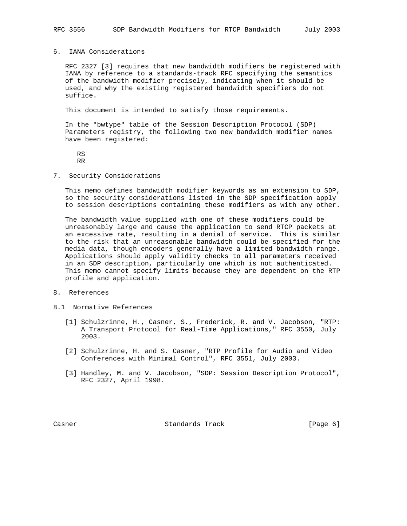### 6. IANA Considerations

 RFC 2327 [3] requires that new bandwidth modifiers be registered with IANA by reference to a standards-track RFC specifying the semantics of the bandwidth modifier precisely, indicating when it should be used, and why the existing registered bandwidth specifiers do not suffice.

This document is intended to satisfy those requirements.

 In the "bwtype" table of the Session Description Protocol (SDP) Parameters registry, the following two new bandwidth modifier names have been registered:

 RS RR

7. Security Considerations

 This memo defines bandwidth modifier keywords as an extension to SDP, so the security considerations listed in the SDP specification apply to session descriptions containing these modifiers as with any other.

 The bandwidth value supplied with one of these modifiers could be unreasonably large and cause the application to send RTCP packets at an excessive rate, resulting in a denial of service. This is similar to the risk that an unreasonable bandwidth could be specified for the media data, though encoders generally have a limited bandwidth range. Applications should apply validity checks to all parameters received in an SDP description, particularly one which is not authenticated. This memo cannot specify limits because they are dependent on the RTP profile and application.

- 8. References
- 8.1 Normative References
	- [1] Schulzrinne, H., Casner, S., Frederick, R. and V. Jacobson, "RTP: A Transport Protocol for Real-Time Applications," RFC 3550, July 2003.
	- [2] Schulzrinne, H. and S. Casner, "RTP Profile for Audio and Video Conferences with Minimal Control", RFC 3551, July 2003.
	- [3] Handley, M. and V. Jacobson, "SDP: Session Description Protocol", RFC 2327, April 1998.

Casner **Standards Track** [Page 6]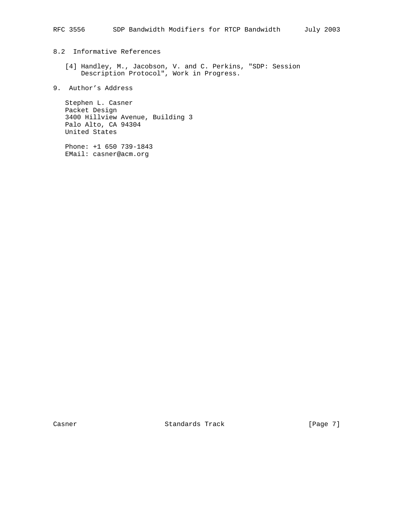# 8.2 Informative References

- [4] Handley, M., Jacobson, V. and C. Perkins, "SDP: Session Description Protocol", Work in Progress.
- 9. Author's Address

 Stephen L. Casner Packet Design 3400 Hillview Avenue, Building 3 Palo Alto, CA 94304 United States

 Phone: +1 650 739-1843 EMail: casner@acm.org

Casner **Standards Track** [Page 7]